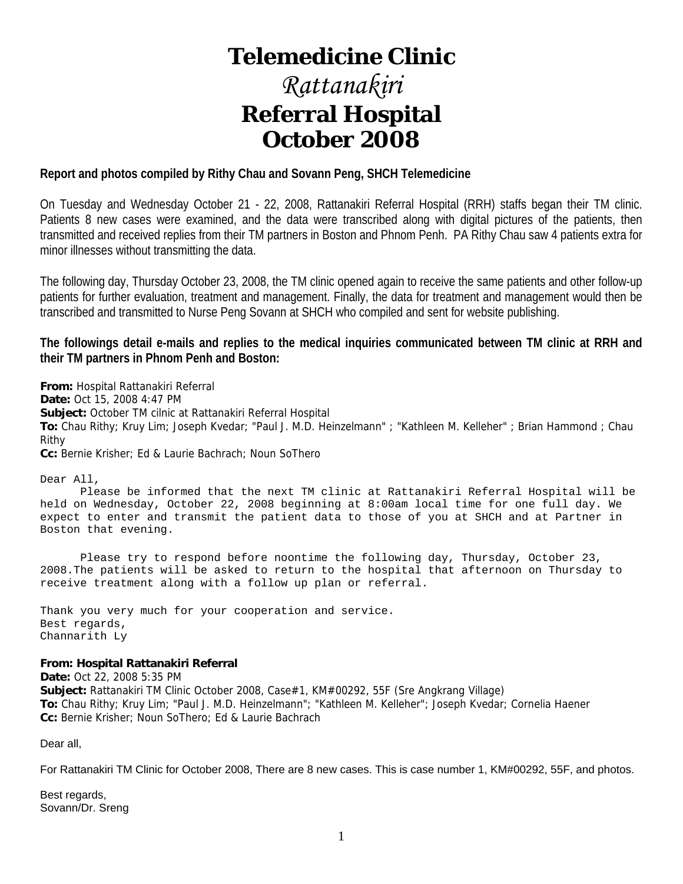# **Telemedicine Clinic**

# *Rattanakiri*  **Referral Hospital October 2008**

### **Report and photos compiled by Rithy Chau and Sovann Peng, SHCH Telemedicine**

On Tuesday and Wednesday October 21 - 22, 2008, Rattanakiri Referral Hospital (RRH) staffs began their TM clinic. Patients 8 new cases were examined, and the data were transcribed along with digital pictures of the patients, then transmitted and received replies from their TM partners in Boston and Phnom Penh. PA Rithy Chau saw 4 patients extra for minor illnesses without transmitting the data.

The following day, Thursday October 23, 2008, the TM clinic opened again to receive the same patients and other follow-up patients for further evaluation, treatment and management. Finally, the data for treatment and management would then be transcribed and transmitted to Nurse Peng Sovann at SHCH who compiled and sent for website publishing.

**The followings detail e-mails and replies to the medical inquiries communicated between TM clinic at RRH and their TM partners in Phnom Penh and Boston:** 

**From:** Hospital Rattanakiri Referral **Date:** Oct 15, 2008 4:47 PM **Subject:** October TM cilnic at Rattanakiri Referral Hospital **To:** Chau Rithy; Kruy Lim; Joseph Kvedar; "Paul J. M.D. Heinzelmann" ; "Kathleen M. Kelleher" ; Brian Hammond ; Chau Rithy **Cc:** Bernie Krisher; Ed & Laurie Bachrach; Noun SoThero

Dear All,

 Please be informed that the next TM clinic at Rattanakiri Referral Hospital will be held on Wednesday, October 22, 2008 beginning at 8:00am local time for one full day. We expect to enter and transmit the patient data to those of you at SHCH and at Partner in Boston that evening.

 Please try to respond before noontime the following day, Thursday, October 23, 2008.The patients will be asked to return to the hospital that afternoon on Thursday to receive treatment along with a follow up plan or referral.

Thank you very much for your cooperation and service. Best regards, Channarith Ly

#### **From: Hospital Rattanakiri Referral**

**Date:** Oct 22, 2008 5:35 PM **Subject:** Rattanakiri TM Clinic October 2008, Case#1, KM#00292, 55F (Sre Angkrang Village) **To:** Chau Rithy; Kruy Lim; "Paul J. M.D. Heinzelmann"; "Kathleen M. Kelleher"; Joseph Kvedar; Cornelia Haener **Cc:** Bernie Krisher; Noun SoThero; Ed & Laurie Bachrach

Dear all,

For Rattanakiri TM Clinic for October 2008, There are 8 new cases. This is case number 1, KM#00292, 55F, and photos.

Best regards, Sovann/Dr. Sreng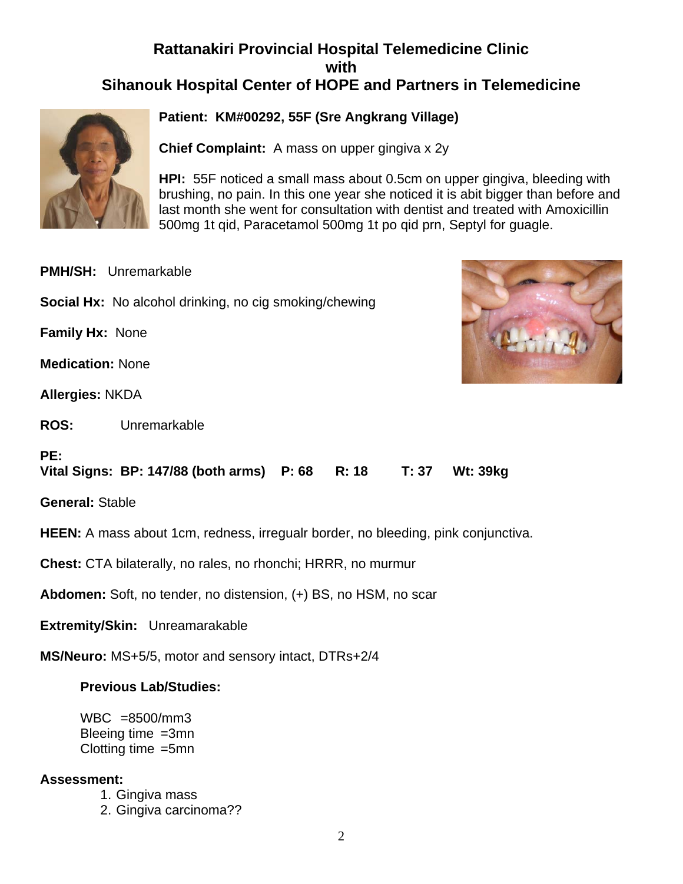# **Rattanakiri Provincial Hospital Telemedicine Clinic with Sihanouk Hospital Center of HOPE and Partners in Telemedicine**



# **Patient: KM#00292, 55F (Sre Angkrang Village)**

**Chief Complaint:** A mass on upper gingiva x 2y

**HPI:** 55F noticed a small mass about 0.5cm on upper gingiva, bleeding with brushing, no pain. In this one year she noticed it is abit bigger than before and last month she went for consultation with dentist and treated with Amoxicillin 500mg 1t qid, Paracetamol 500mg 1t po qid prn, Septyl for guagle.

**PMH/SH:** Unremarkable

**Social Hx:** No alcohol drinking, no cig smoking/chewing

**Family Hx:** None

**Medication:** None

**Allergies:** NKDA

**ROS:** Unremarkable



# **PE:**

**Vital Signs: BP: 147/88 (both arms) P: 68 R: 18 T: 37 Wt: 39kg** 

**General:** Stable

**HEEN:** A mass about 1cm, redness, irregualr border, no bleeding, pink conjunctiva.

**Chest:** CTA bilaterally, no rales, no rhonchi; HRRR, no murmur

**Abdomen:** Soft, no tender, no distension, (+) BS, no HSM, no scar

**Extremity/Skin:** Unreamarakable

**MS/Neuro:** MS+5/5, motor and sensory intact, DTRs+2/4

# **Previous Lab/Studies:**

WBC =8500/mm3 Bleeing time =3mn Clotting time =5mn

# **Assessment:**

- 1. Gingiva mass
- 2. Gingiva carcinoma??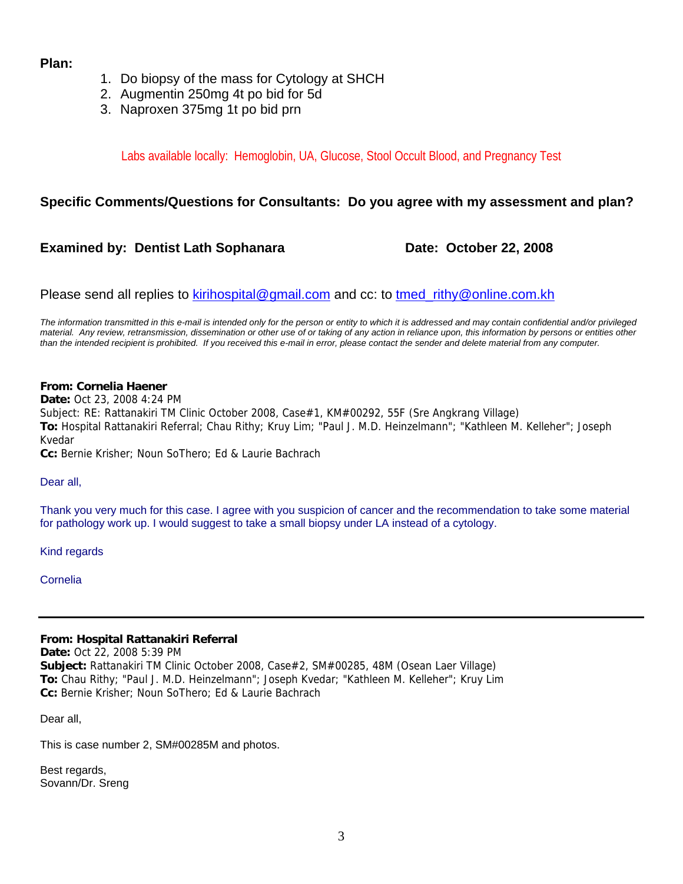# **Plan:**

- 1. Do biopsy of the mass for Cytology at SHCH
- 2. Augmentin 250mg 4t po bid for 5d
- 3. Naproxen 375mg 1t po bid prn

Labs available locally: Hemoglobin, UA, Glucose, Stool Occult Blood, and Pregnancy Test

# **Specific Comments/Questions for Consultants: Do you agree with my assessment and plan?**

# **Examined by: Dentist Lath Sophanara Mate: October 22, 2008**

Please send all replies to [kirihospital@gmail.com](mailto:kirihospital@gmail.com) and cc: to tmed rithy@online.com.kh

*The information transmitted in this e-mail is intended only for the person or entity to which it is addressed and may contain confidential and/or privileged material. Any review, retransmission, dissemination or other use of or taking of any action in reliance upon, this information by persons or entities other than the intended recipient is prohibited. If you received this e-mail in error, please contact the sender and delete material from any computer.*

#### **From: Cornelia Haener Date:** Oct 23, 2008 4:24 PM Subject: RE: Rattanakiri TM Clinic October 2008, Case#1, KM#00292, 55F (Sre Angkrang Village) **To:** Hospital Rattanakiri Referral; Chau Rithy; Kruy Lim; "Paul J. M.D. Heinzelmann"; "Kathleen M. Kelleher"; Joseph Kvedar **Cc:** Bernie Krisher; Noun SoThero; Ed & Laurie Bachrach

Dear all,

Thank you very much for this case. I agree with you suspicion of cancer and the recommendation to take some material for pathology work up. I would suggest to take a small biopsy under LA instead of a cytology.

Kind regards

Cornelia

# **From: Hospital Rattanakiri Referral**

**Date:** Oct 22, 2008 5:39 PM **Subject:** Rattanakiri TM Clinic October 2008, Case#2, SM#00285, 48M (Osean Laer Village) **To:** Chau Rithy; "Paul J. M.D. Heinzelmann"; Joseph Kvedar; "Kathleen M. Kelleher"; Kruy Lim **Cc:** Bernie Krisher; Noun SoThero; Ed & Laurie Bachrach

Dear all,

This is case number 2, SM#00285M and photos.

Best regards, Sovann/Dr. Sreng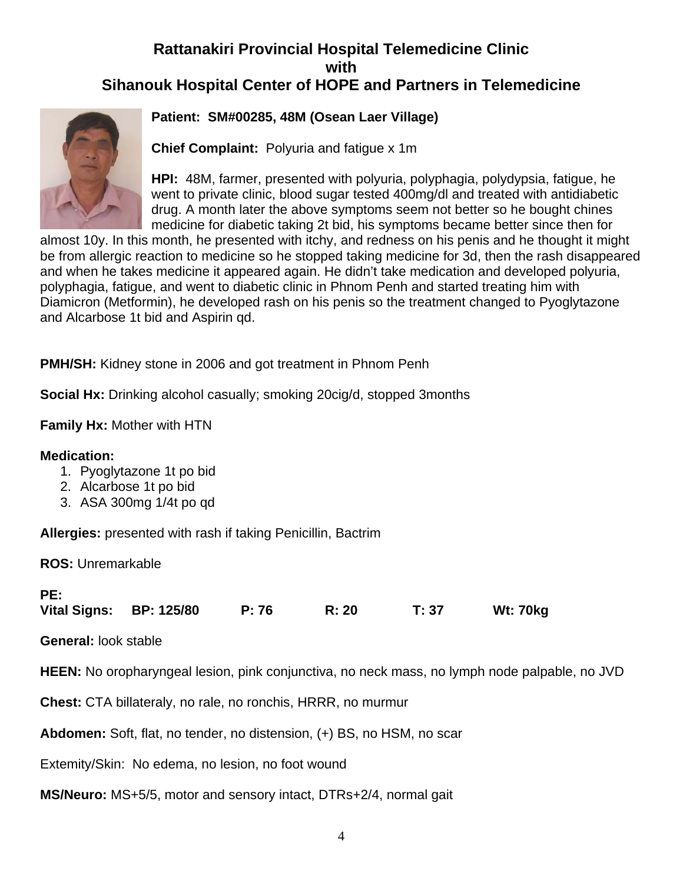# **Rattanakiri Provincial Hospital Telemedicine Clinic with Sihanouk Hospital Center of HOPE and Partners in Telemedicine**



# **Patient: SM#00285, 48M (Osean Laer Village)**

**Chief Complaint:** Polyuria and fatigue x 1m

**HPI:** 48M, farmer, presented with polyuria, polyphagia, polydypsia, fatigue, he went to private clinic, blood sugar tested 400mg/dl and treated with antidiabetic drug. A month later the above symptoms seem not better so he bought chines medicine for diabetic taking 2t bid, his symptoms became better since then for

almost 10y. In this month, he presented with itchy, and redness on his penis and he thought it might be from allergic reaction to medicine so he stopped taking medicine for 3d, then the rash disappeared and when he takes medicine it appeared again. He didn't take medication and developed polyuria, polyphagia, fatigue, and went to diabetic clinic in Phnom Penh and started treating him with Diamicron (Metformin), he developed rash on his penis so the treatment changed to Pyoglytazone and Alcarbose 1t bid and Aspirin qd.

**PMH/SH:** Kidney stone in 2006 and got treatment in Phnom Penh

**Social Hx:** Drinking alcohol casually; smoking 20cig/d, stopped 3months

**Family Hx:** Mother with HTN

# **Medication:**

- 1. Pyoglytazone 1t po bid
- 2. Alcarbose 1t po bid
- 3. ASA 300mg 1/4t po qd

**Allergies:** presented with rash if taking Penicillin, Bactrim

**ROS:** Unremarkable

| PE: |                         |       |       |       |          |
|-----|-------------------------|-------|-------|-------|----------|
|     | Vital Signs: BP: 125/80 | P: 76 | R: 20 | T: 37 | Wt: 70kg |

**General:** look stable

**HEEN:** No oropharyngeal lesion, pink conjunctiva, no neck mass, no lymph node palpable, no JVD

**Chest:** CTA billateraly, no rale, no ronchis, HRRR, no murmur

**Abdomen:** Soft, flat, no tender, no distension, (+) BS, no HSM, no scar

Extemity/Skin: No edema, no lesion, no foot wound

**MS/Neuro:** MS+5/5, motor and sensory intact, DTRs+2/4, normal gait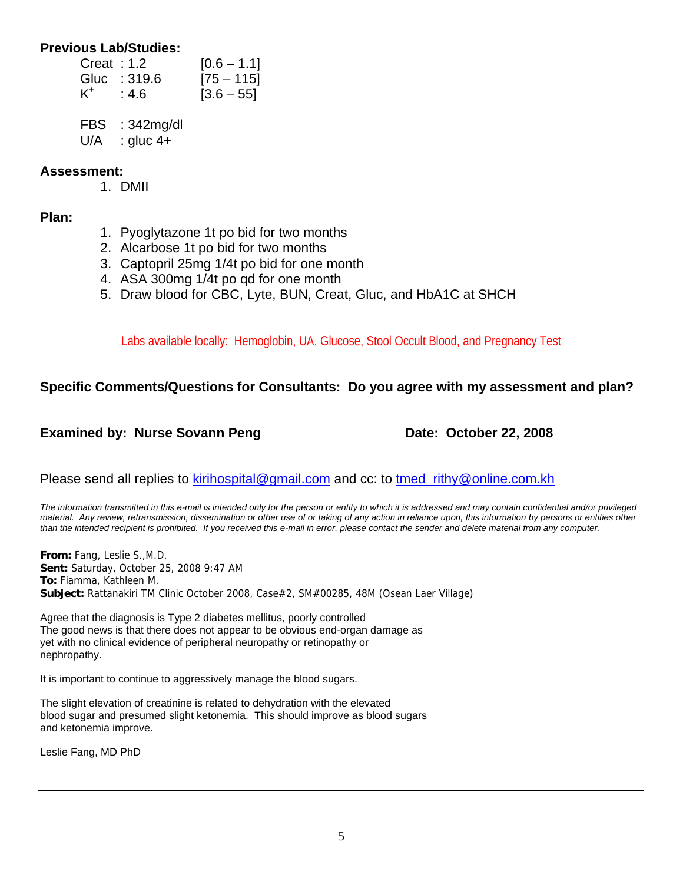# **Previous Lab/Studies:**

| Create: 1.2 |              | $[0.6 - 1.1]$ |
|-------------|--------------|---------------|
|             | Gluc : 319.6 | $[75 - 115]$  |
| $K^+$       | :4.6         | $[3.6 - 55]$  |

FBS : 342mg/dl

 $U/A$  : gluc 4+

# **Assessment:**

1. DMII

# **Plan:**

- 1. Pyoglytazone 1t po bid for two months
- 2. Alcarbose 1t po bid for two months
- 3. Captopril 25mg 1/4t po bid for one month
- 4. ASA 300mg 1/4t po qd for one month
- 5. Draw blood for CBC, Lyte, BUN, Creat, Gluc, and HbA1C at SHCH

Labs available locally: Hemoglobin, UA, Glucose, Stool Occult Blood, and Pregnancy Test

# **Specific Comments/Questions for Consultants: Do you agree with my assessment and plan?**

# **Examined by: Nurse Sovann Peng Date: October 22, 2008**

Please send all replies to [kirihospital@gmail.com](mailto:kirihospital@gmail.com) and cc: to tmed rithy@online.com.kh

*The information transmitted in this e-mail is intended only for the person or entity to which it is addressed and may contain confidential and/or privileged material. Any review, retransmission, dissemination or other use of or taking of any action in reliance upon, this information by persons or entities other than the intended recipient is prohibited. If you received this e-mail in error, please contact the sender and delete material from any computer.*

**From:** Fang, Leslie S.,M.D. **Sent:** Saturday, October 25, 2008 9:47 AM **To:** Fiamma, Kathleen M. **Subject:** Rattanakiri TM Clinic October 2008, Case#2, SM#00285, 48M (Osean Laer Village)

Agree that the diagnosis is Type 2 diabetes mellitus, poorly controlled The good news is that there does not appear to be obvious end-organ damage as yet with no clinical evidence of peripheral neuropathy or retinopathy or nephropathy.

It is important to continue to aggressively manage the blood sugars.

The slight elevation of creatinine is related to dehydration with the elevated blood sugar and presumed slight ketonemia. This should improve as blood sugars and ketonemia improve.

Leslie Fang, MD PhD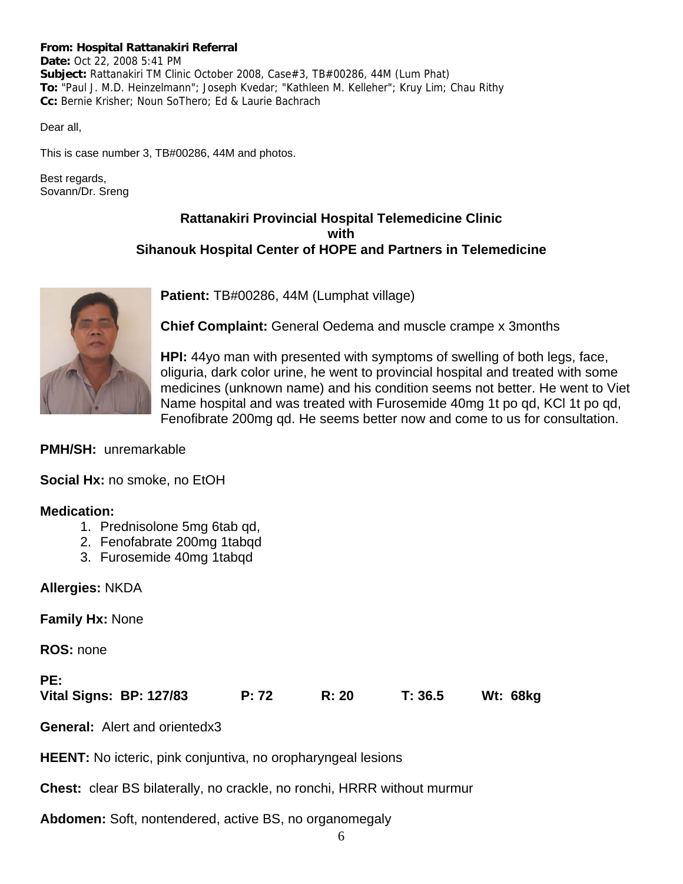#### **From: Hospital Rattanakiri Referral**

**Date:** Oct 22, 2008 5:41 PM **Subject:** Rattanakiri TM Clinic October 2008, Case#3, TB#00286, 44M (Lum Phat) **To:** "Paul J. M.D. Heinzelmann"; Joseph Kvedar; "Kathleen M. Kelleher"; Kruy Lim; Chau Rithy **Cc:** Bernie Krisher; Noun SoThero; Ed & Laurie Bachrach

Dear all,

This is case number 3, TB#00286, 44M and photos.

Best regards, Sovann/Dr. Sreng

# **Rattanakiri Provincial Hospital Telemedicine Clinic with Sihanouk Hospital Center of HOPE and Partners in Telemedicine**



**Patient:** TB#00286, 44M (Lumphat village)

**Chief Complaint:** General Oedema and muscle crampe x 3months

**HPI:** 44yo man with presented with symptoms of swelling of both legs, face, oliguria, dark color urine, he went to provincial hospital and treated with some medicines (unknown name) and his condition seems not better. He went to Viet Name hospital and was treated with Furosemide 40mg 1t po qd, KCl 1t po qd, Fenofibrate 200mg qd. He seems better now and come to us for consultation.

**PMH/SH:** unremarkable

**Social Hx:** no smoke, no EtOH

# **Medication:**

- 1. Prednisolone 5mg 6tab qd,
- 2. Fenofabrate 200mg 1tabqd
- 3. Furosemide 40mg 1tabqd

# **Allergies:** NKDA

**Family Hx:** None

**ROS:** none

**PE: Vital Signs: BP: 127/83 P: 72 R: 20 T: 36.5 Wt: 68kg**

**General:** Alert and orientedx3

**HEENT:** No icteric, pink conjuntiva, no oropharyngeal lesions

**Chest:** clear BS bilaterally, no crackle, no ronchi, HRRR without murmur

**Abdomen:** Soft, nontendered, active BS, no organomegaly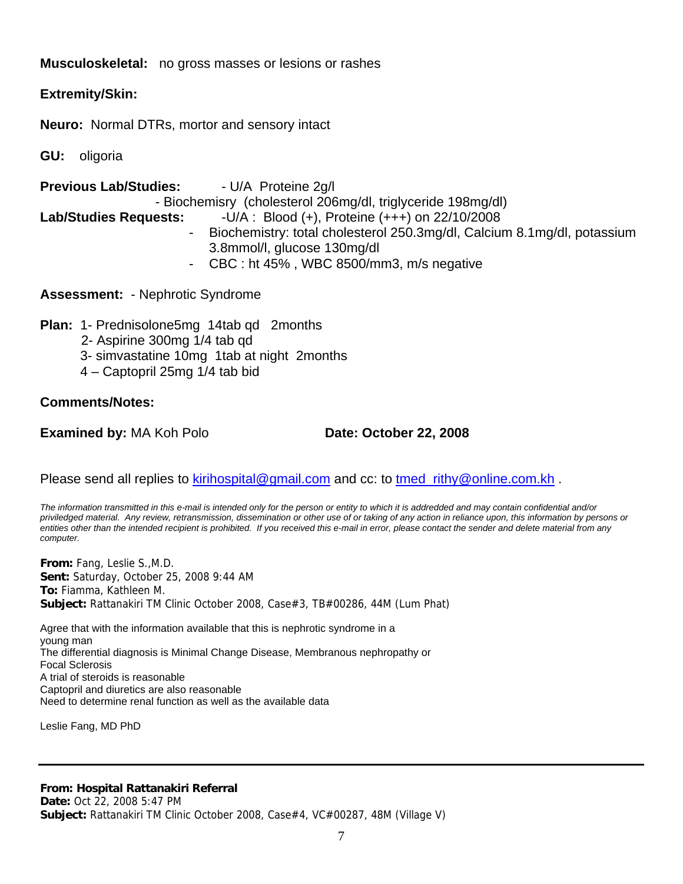# **Musculoskeletal:** no gross masses or lesions or rashes

# **Extremity/Skin:**

**Neuro:** Normal DTRs, mortor and sensory intact

**GU:** oligoria

**Previous Lab/Studies:** - U/A Proteine 2g/l - Biochemisry (cholesterol 206mg/dl, triglyceride 198mg/dl) **Lab/Studies Requests:** -U/A : Blood (+), Proteine (+++) on 22/10/2008 - Biochemistry: total cholesterol 250.3mg/dl, Calcium 8.1mg/dl, potassium 3.8mmol/l, glucose 130mg/dl - CBC : ht 45% , WBC 8500/mm3, m/s negative

**Assessment:** - Nephrotic Syndrome

**Plan:** 1- Prednisolone5mg 14tab qd 2months

- 2- Aspirine 300mg 1/4 tab qd
- 3- simvastatine 10mg 1tab at night 2months
- 4 Captopril 25mg 1/4 tab bid

# **Comments/Notes:**

**Examined by:** MA Koh Polo **Date: October 22, 2008** 

Please send all replies to [kirihospital@gmail.com](mailto:kirihospital@gmail.com) and cc: to tmed rithy@online.com.kh.

*The information transmitted in this e-mail is intended only for the person or entity to which it is addredded and may contain confidential and/or priviledged material. Any review, retransmission, dissemination or other use of or taking of any action in reliance upon, this information by persons or entities other than the intended recipient is prohibited. If you received this e-mail in error, please contact the sender and delete material from any computer.*

**From:** Fang, Leslie S.,M.D. **Sent:** Saturday, October 25, 2008 9:44 AM **To:** Fiamma, Kathleen M. **Subject:** Rattanakiri TM Clinic October 2008, Case#3, TB#00286, 44M (Lum Phat)

Agree that with the information available that this is nephrotic syndrome in a young man The differential diagnosis is Minimal Change Disease, Membranous nephropathy or Focal Sclerosis A trial of steroids is reasonable Captopril and diuretics are also reasonable Need to determine renal function as well as the available data

Leslie Fang, MD PhD

#### **From: Hospital Rattanakiri Referral**

**Date:** Oct 22, 2008 5:47 PM **Subject:** Rattanakiri TM Clinic October 2008, Case#4, VC#00287, 48M (Village V)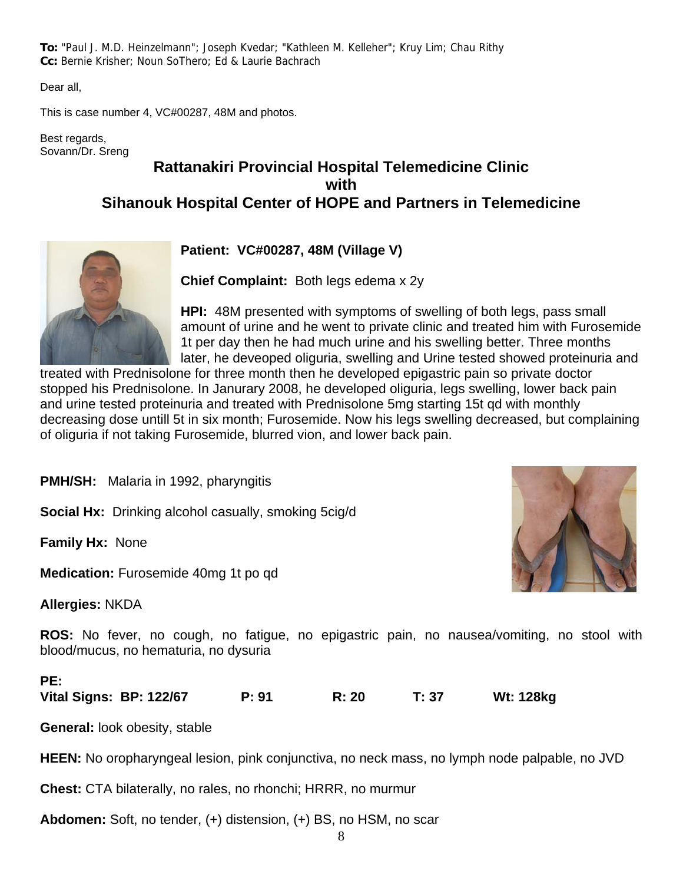**To:** "Paul J. M.D. Heinzelmann"; Joseph Kvedar; "Kathleen M. Kelleher"; Kruy Lim; Chau Rithy **Cc:** Bernie Krisher; Noun SoThero; Ed & Laurie Bachrach

Dear all,

This is case number 4, VC#00287, 48M and photos.

Best regards, Sovann/Dr. Sreng

# **Rattanakiri Provincial Hospital Telemedicine Clinic with Sihanouk Hospital Center of HOPE and Partners in Telemedicine**



**Patient: VC#00287, 48M (Village V)**

**Chief Complaint:** Both legs edema x 2y

**HPI:** 48M presented with symptoms of swelling of both legs, pass small amount of urine and he went to private clinic and treated him with Furosemide 1t per day then he had much urine and his swelling better. Three months later, he deveoped oliguria, swelling and Urine tested showed proteinuria and

treated with Prednisolone for three month then he developed epigastric pain so private doctor stopped his Prednisolone. In Janurary 2008, he developed oliguria, legs swelling, lower back pain and urine tested proteinuria and treated with Prednisolone 5mg starting 15t qd with monthly decreasing dose untill 5t in six month; Furosemide. Now his legs swelling decreased, but complaining of oliguria if not taking Furosemide, blurred vion, and lower back pain.

**PMH/SH:** Malaria in 1992, pharyngitis

**Social Hx:** Drinking alcohol casually, smoking 5cig/d

**Family Hx:** None

**Medication:** Furosemide 40mg 1t po qd

**Allergies:** NKDA

**ROS:** No fever, no cough, no fatigue, no epigastric pain, no nausea/vomiting, no stool with blood/mucus, no hematuria, no dysuria

# **PE:**

**Vital Signs: BP: 122/67 P: 91 R: 20 T: 37 Wt: 128kg** 

**General:** look obesity, stable

**HEEN:** No oropharyngeal lesion, pink conjunctiva, no neck mass, no lymph node palpable, no JVD

**Chest:** CTA bilaterally, no rales, no rhonchi; HRRR, no murmur

**Abdomen:** Soft, no tender, (+) distension, (+) BS, no HSM, no scar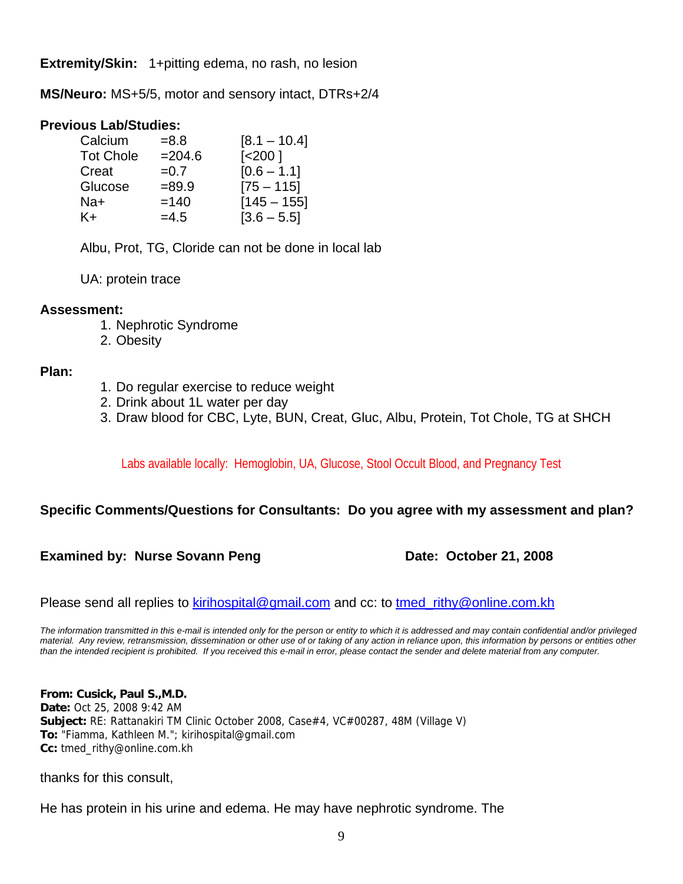**Extremity/Skin:** 1+pitting edema, no rash, no lesion

**MS/Neuro:** MS+5/5, motor and sensory intact, DTRs+2/4

# **Previous Lab/Studies:**

| $= 8.8$   | $[8.1 - 10.4]$     |
|-----------|--------------------|
| $= 204.6$ | [ <sub>200</sub> ] |
| $=0.7$    | $[0.6 - 1.1]$      |
| $= 89.9$  | $[75 - 115]$       |
| $=140$    | $[145 - 155]$      |
| $=4.5$    | $[3.6 - 5.5]$      |
|           |                    |

Albu, Prot, TG, Cloride can not be done in local lab

UA: protein trace

# **Assessment:**

- 1. Nephrotic Syndrome
- 2. Obesity

# **Plan:**

- 1. Do regular exercise to reduce weight
- 2. Drink about 1L water per day
- 3. Draw blood for CBC, Lyte, BUN, Creat, Gluc, Albu, Protein, Tot Chole, TG at SHCH

Labs available locally: Hemoglobin, UA, Glucose, Stool Occult Blood, and Pregnancy Test

# **Specific Comments/Questions for Consultants: Do you agree with my assessment and plan?**

# **Examined by: Nurse Sovann Peng Date: October 21, 2008**

Please send all replies to [kirihospital@gmail.com](mailto:kirihospital@gmail.com) and cc: to tmed rithy@online.com.kh

*The information transmitted in this e-mail is intended only for the person or entity to which it is addressed and may contain confidential and/or privileged material. Any review, retransmission, dissemination or other use of or taking of any action in reliance upon, this information by persons or entities other than the intended recipient is prohibited. If you received this e-mail in error, please contact the sender and delete material from any computer.*

**From: Cusick, Paul S.,M.D. Date:** Oct 25, 2008 9:42 AM **Subject:** RE: Rattanakiri TM Clinic October 2008, Case#4, VC#00287, 48M (Village V) **To:** "Fiamma, Kathleen M."; kirihospital@gmail.com **Cc:** tmed\_rithy@online.com.kh

thanks for this consult,

He has protein in his urine and edema. He may have nephrotic syndrome. The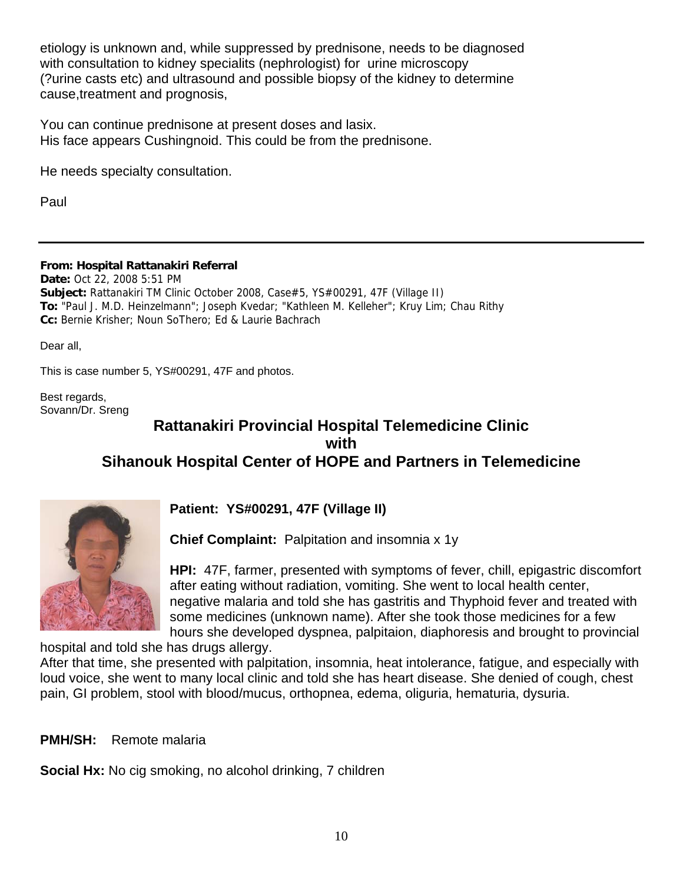etiology is unknown and, while suppressed by prednisone, needs to be diagnosed with consultation to kidney specialits (nephrologist) for urine microscopy (?urine casts etc) and ultrasound and possible biopsy of the kidney to determine cause,treatment and prognosis,

You can continue prednisone at present doses and lasix. His face appears Cushingnoid. This could be from the prednisone.

He needs specialty consultation.

Paul

**From: Hospital Rattanakiri Referral**

**Date:** Oct 22, 2008 5:51 PM **Subject:** Rattanakiri TM Clinic October 2008, Case#5, YS#00291, 47F (Village II) **To:** "Paul J. M.D. Heinzelmann"; Joseph Kvedar; "Kathleen M. Kelleher"; Kruy Lim; Chau Rithy **Cc:** Bernie Krisher; Noun SoThero; Ed & Laurie Bachrach

Dear all,

This is case number 5, YS#00291, 47F and photos.

Best regards, Sovann/Dr. Sreng

# **Rattanakiri Provincial Hospital Telemedicine Clinic with Sihanouk Hospital Center of HOPE and Partners in Telemedicine**



**Patient: YS#00291, 47F (Village II)**

**Chief Complaint:** Palpitation and insomnia x 1y

**HPI:** 47F, farmer, presented with symptoms of fever, chill, epigastric discomfort after eating without radiation, vomiting. She went to local health center, negative malaria and told she has gastritis and Thyphoid fever and treated with some medicines (unknown name). After she took those medicines for a few hours she developed dyspnea, palpitaion, diaphoresis and brought to provincial

hospital and told she has drugs allergy.

After that time, she presented with palpitation, insomnia, heat intolerance, fatigue, and especially with loud voice, she went to many local clinic and told she has heart disease. She denied of cough, chest pain, GI problem, stool with blood/mucus, orthopnea, edema, oliguria, hematuria, dysuria.

**PMH/SH:** Remote malaria

**Social Hx:** No cig smoking, no alcohol drinking, 7 children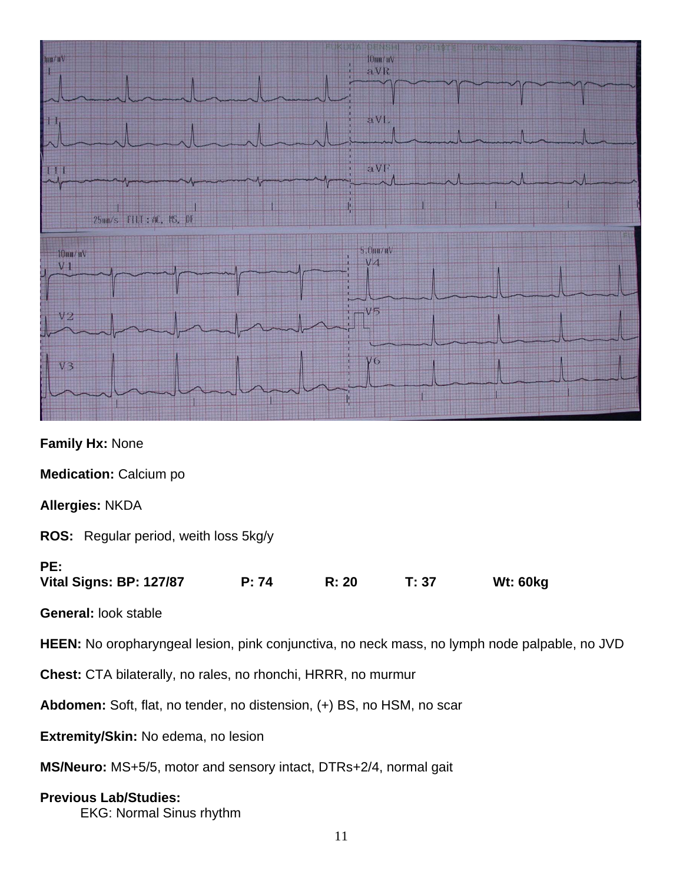

**Family Hx:** None

**Medication:** Calcium po

**Allergies:** NKDA

**ROS:** Regular period, weith loss 5kg/y

# **PE:**

**Vital Signs: BP: 127/87 P: 74 R: 20 T: 37 Wt: 60kg** 

**General:** look stable

**HEEN:** No oropharyngeal lesion, pink conjunctiva, no neck mass, no lymph node palpable, no JVD

**Chest:** CTA bilaterally, no rales, no rhonchi, HRRR, no murmur

**Abdomen:** Soft, flat, no tender, no distension, (+) BS, no HSM, no scar

**Extremity/Skin:** No edema, no lesion

**MS/Neuro:** MS+5/5, motor and sensory intact, DTRs+2/4, normal gait

# **Previous Lab/Studies:**

EKG: Normal Sinus rhythm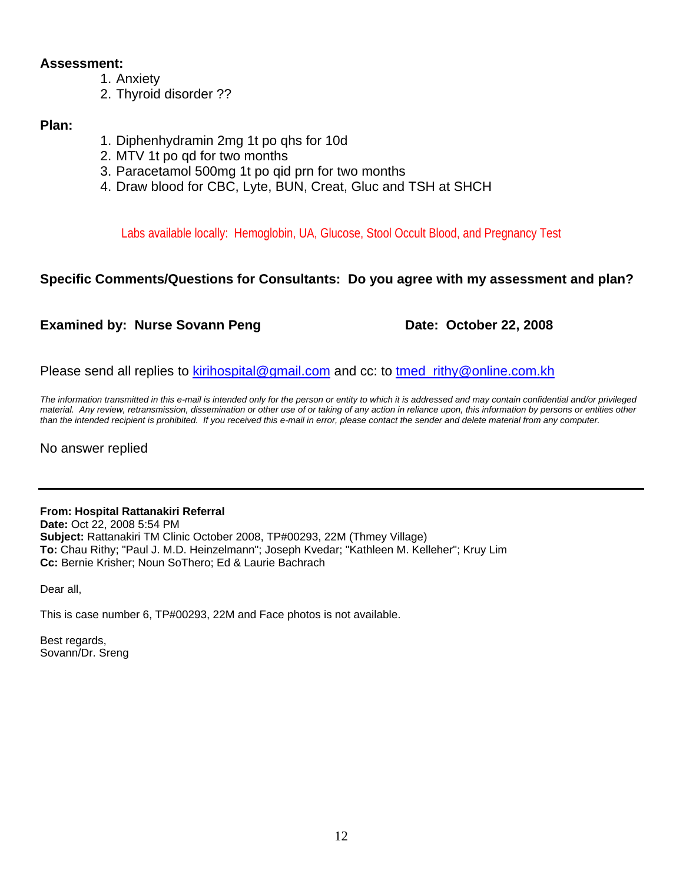# **Assessment:**

- 1. Anxiety
- 2. Thyroid disorder ??

# **Plan:**

- 1. Diphenhydramin 2mg 1t po qhs for 10d
- 2. MTV 1t po qd for two months
- 3. Paracetamol 500mg 1t po qid prn for two months
- 4. Draw blood for CBC, Lyte, BUN, Creat, Gluc and TSH at SHCH

Labs available locally: Hemoglobin, UA, Glucose, Stool Occult Blood, and Pregnancy Test

# **Specific Comments/Questions for Consultants: Do you agree with my assessment and plan?**

# **Examined by: Nurse Sovann Peng Date: October 22, 2008**

Please send all replies to [kirihospital@gmail.com](mailto:kirihospital@gmail.com) and cc: to tmed rithy@online.com.kh

*The information transmitted in this e-mail is intended only for the person or entity to which it is addressed and may contain confidential and/or privileged material. Any review, retransmission, dissemination or other use of or taking of any action in reliance upon, this information by persons or entities other than the intended recipient is prohibited. If you received this e-mail in error, please contact the sender and delete material from any computer.*

No answer replied

# **From: Hospital Rattanakiri Referral**

**Date:** Oct 22, 2008 5:54 PM **Subject:** Rattanakiri TM Clinic October 2008, TP#00293, 22M (Thmey Village) **To:** Chau Rithy; "Paul J. M.D. Heinzelmann"; Joseph Kvedar; "Kathleen M. Kelleher"; Kruy Lim **Cc:** Bernie Krisher; Noun SoThero; Ed & Laurie Bachrach

Dear all,

This is case number 6, TP#00293, 22M and Face photos is not available.

Best regards, Sovann/Dr. Sreng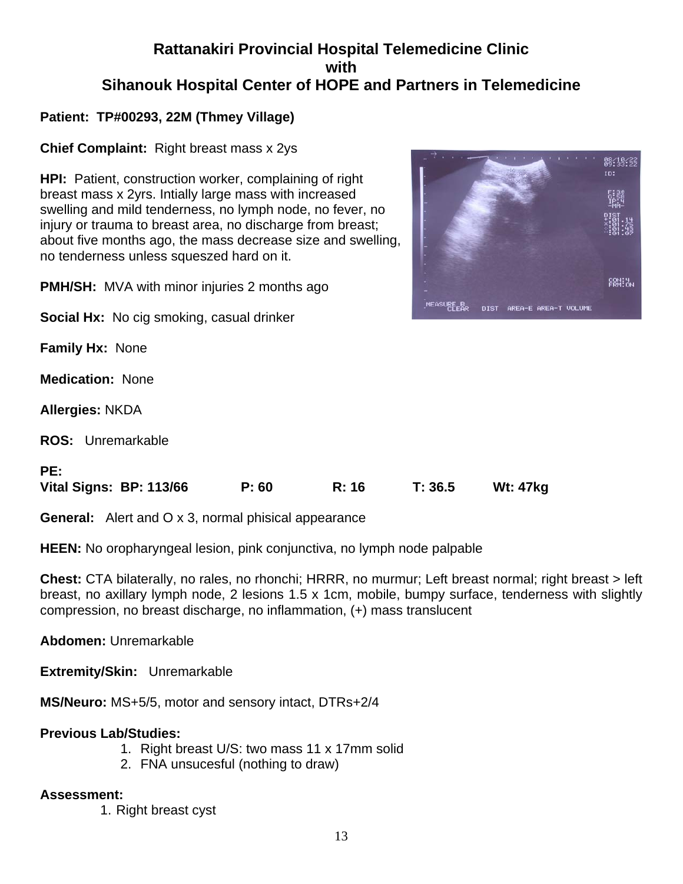# **Rattanakiri Provincial Hospital Telemedicine Clinic with Sihanouk Hospital Center of HOPE and Partners in Telemedicine**

# **Patient: TP#00293, 22M (Thmey Village)**

**Chief Complaint:** Right breast mass x 2ys

about five months ago, the mass decrease size and swelling, **HPI:** Patient, construction worker, complaining of right breast mass x 2yrs. Intially large mass with increased swelling and mild tenderness, no lymph node, no fever, no injury or trauma to breast area, no discharge from breast; no tenderness unless squeszed hard on it.

**PMH/SH:** MVA with minor injuries 2 months ago

**Social Hx:** No cig smoking, casual drinker

**Family Hx:** None

**Medication:** None

**Allergies:** NKDA

**ROS:** Unremarkable

# **PE:**

**Vital Signs: BP: 113/66 P: 60 R: 16 T: 36.5 Wt: 47kg** 

**General:** Alert and O x 3, normal phisical appearance

**HEEN:** No oropharyngeal lesion, pink conjunctiva, no lymph node palpable

**Chest:** CTA bilaterally, no rales, no rhonchi; HRRR, no murmur; Left breast normal; right breast > left breast, no axillary lymph node, 2 lesions 1.5 x 1cm, mobile, bumpy surface, tenderness with slightly compression, no breast discharge, no inflammation, (+) mass translucent

**Abdomen:** Unremarkable

**Extremity/Skin:** Unremarkable

**MS/Neuro:** MS+5/5, motor and sensory intact, DTRs+2/4

# **Previous Lab/Studies:**

- 1. Right breast U/S: two mass 11 x 17mm solid
- 2. FNA unsucesful (nothing to draw)

# **Assessment:**

1. Right breast cyst

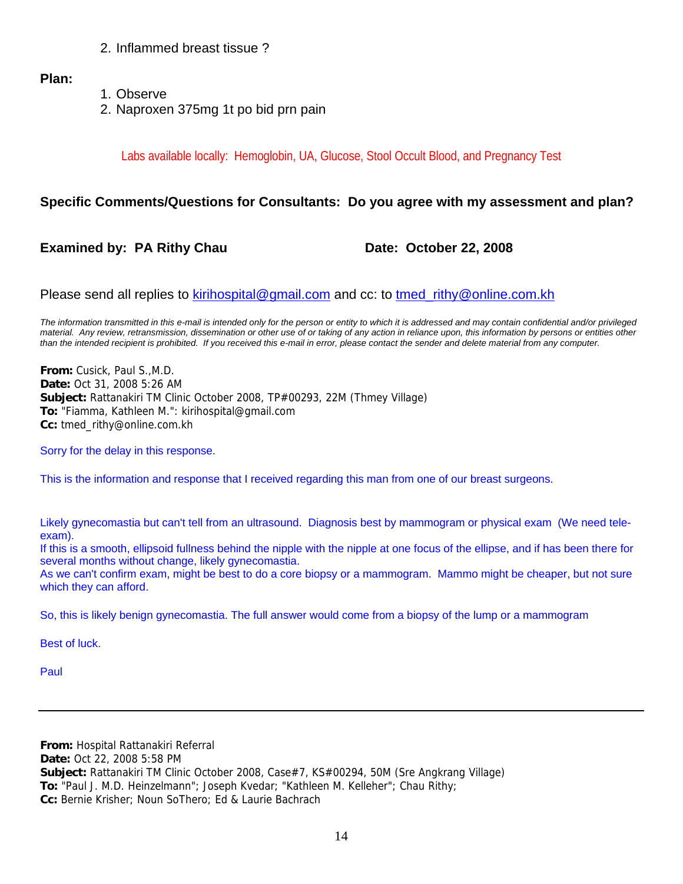2. Inflammed breast tissue ?

# **Plan:**

- 1. Observe
- 2. Naproxen 375mg 1t po bid prn pain

Labs available locally: Hemoglobin, UA, Glucose, Stool Occult Blood, and Pregnancy Test

# **Specific Comments/Questions for Consultants: Do you agree with my assessment and plan?**

# **Examined by: PA Rithy Chau Date: October 22, 2008**

Please send all replies to [kirihospital@gmail.com](mailto:kirihospital@gmail.com) and cc: to tmed rithy@online.com.kh

*The information transmitted in this e-mail is intended only for the person or entity to which it is addressed and may contain confidential and/or privileged material. Any review, retransmission, dissemination or other use of or taking of any action in reliance upon, this information by persons or entities other than the intended recipient is prohibited. If you received this e-mail in error, please contact the sender and delete material from any computer.*

**From:** Cusick, Paul S.,M.D. **Date:** Oct 31, 2008 5:26 AM **Subject:** Rattanakiri TM Clinic October 2008, TP#00293, 22M (Thmey Village) **To:** "Fiamma, Kathleen M.": kirihospital@gmail.com **Cc:** tmed\_rithy@online.com.kh

Sorry for the delay in this response.

This is the information and response that I received regarding this man from one of our breast surgeons.

Likely gynecomastia but can't tell from an ultrasound. Diagnosis best by mammogram or physical exam (We need teleexam).

If this is a smooth, ellipsoid fullness behind the nipple with the nipple at one focus of the ellipse, and if has been there for several months without change, likely gynecomastia.

As we can't confirm exam, might be best to do a core biopsy or a mammogram. Mammo might be cheaper, but not sure which they can afford.

So, this is likely benign gynecomastia. The full answer would come from a biopsy of the lump or a mammogram

Best of luck.

Paul

**From:** Hospital Rattanakiri Referral **Date:** Oct 22, 2008 5:58 PM **Subject:** Rattanakiri TM Clinic October 2008, Case#7, KS#00294, 50M (Sre Angkrang Village) **To:** "Paul J. M.D. Heinzelmann"; Joseph Kvedar; "Kathleen M. Kelleher"; Chau Rithy; **Cc:** Bernie Krisher; Noun SoThero; Ed & Laurie Bachrach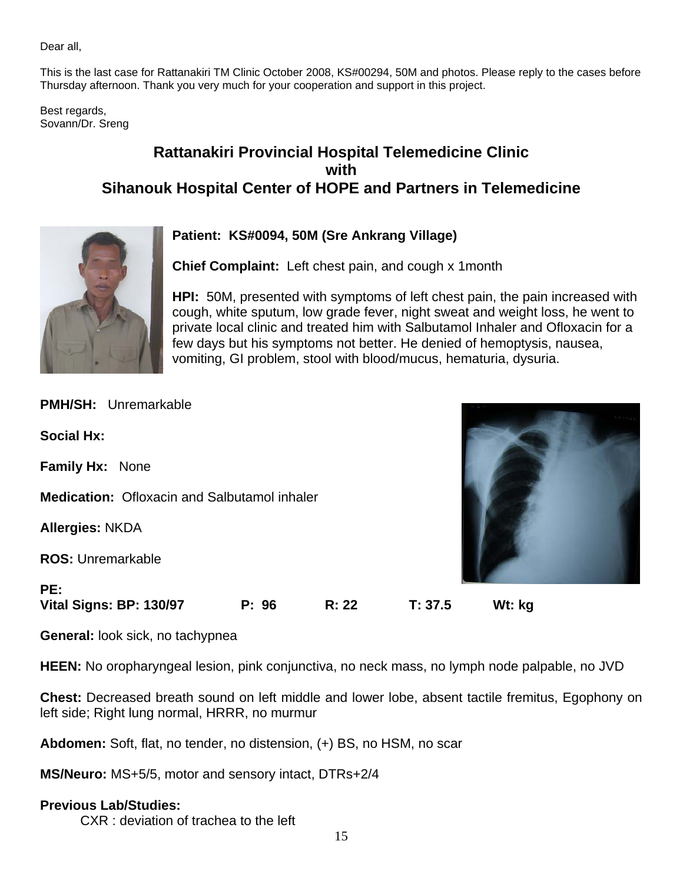Dear all,

This is the last case for Rattanakiri TM Clinic October 2008, KS#00294, 50M and photos. Please reply to the cases before Thursday afternoon. Thank you very much for your cooperation and support in this project.

Best regards, Sovann/Dr. Sreng

# **Rattanakiri Provincial Hospital Telemedicine Clinic with Sihanouk Hospital Center of HOPE and Partners in Telemedicine**



# **Patient: KS#0094, 50M (Sre Ankrang Village)**

**Chief Complaint:** Left chest pain, and cough x 1month

**HPI:** 50M, presented with symptoms of left chest pain, the pain increased with cough, white sputum, low grade fever, night sweat and weight loss, he went to private local clinic and treated him with Salbutamol Inhaler and Ofloxacin for a few days but his symptoms not better. He denied of hemoptysis, nausea, vomiting, GI problem, stool with blood/mucus, hematuria, dysuria.

| PE:<br>Vital Signs: BP: 130/97                      | P: 96 | R: 22 | T: 37.5 | Wt: kg |  |
|-----------------------------------------------------|-------|-------|---------|--------|--|
| <b>ROS: Unremarkable</b>                            |       |       |         |        |  |
| <b>Allergies: NKDA</b>                              |       |       |         |        |  |
| <b>Medication:</b> Ofloxacin and Salbutamol inhaler |       |       |         |        |  |
| Family Hx: None                                     |       |       |         |        |  |
| <b>Social Hx:</b>                                   |       |       |         |        |  |
| <b>PMH/SH: Unremarkable</b>                         |       |       |         |        |  |

**General:** look sick, no tachypnea

**HEEN:** No oropharyngeal lesion, pink conjunctiva, no neck mass, no lymph node palpable, no JVD

**Chest:** Decreased breath sound on left middle and lower lobe, absent tactile fremitus, Egophony on left side; Right lung normal, HRRR, no murmur

**Abdomen:** Soft, flat, no tender, no distension, (+) BS, no HSM, no scar

**MS/Neuro:** MS+5/5, motor and sensory intact, DTRs+2/4

# **Previous Lab/Studies:**

CXR : deviation of trachea to the left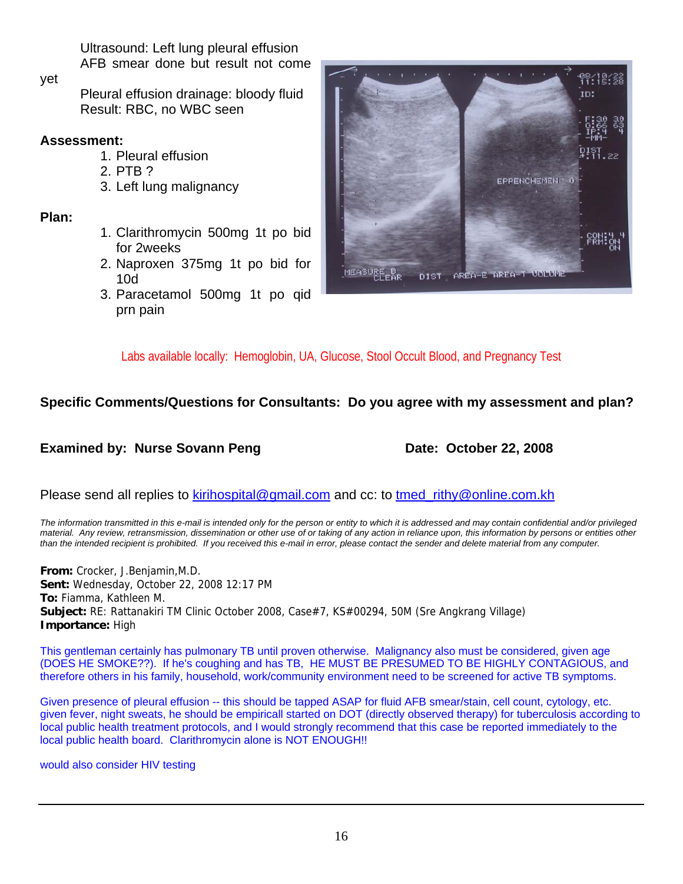Ultrasound: Left lung pleural effusion AFB smear done but result not come

yet

 Pleural effusion drainage: bloody fluid Result: RBC, no WBC seen

# **Assessment:**

- 1. Pleural effusion
- 2. PTB ?
- 3. Left lung malignancy

**Plan:** 

- 1. Clarithromycin 500mg 1t po bid for 2weeks
- 2. Naproxen 375mg 1t po bid for 10d
- 3. Paracetamol 500mg 1t po qid prn pain



Labs available locally: Hemoglobin, UA, Glucose, Stool Occult Blood, and Pregnancy Test

# **Specific Comments/Questions for Consultants: Do you agree with my assessment and plan?**

**Examined by: Nurse Sovann Peng Date: October 22, 2008** 

Please send all replies to [kirihospital@gmail.com](mailto:kirihospital@gmail.com) and cc: to tmed rithy@online.com.kh

*The information transmitted in this e-mail is intended only for the person or entity to which it is addressed and may contain confidential and/or privileged material. Any review, retransmission, dissemination or other use of or taking of any action in reliance upon, this information by persons or entities other than the intended recipient is prohibited. If you received this e-mail in error, please contact the sender and delete material from any computer.*

**From:** Crocker, J.Benjamin,M.D. **Sent:** Wednesday, October 22, 2008 12:17 PM **To:** Fiamma, Kathleen M. **Subject:** RE: Rattanakiri TM Clinic October 2008, Case#7, KS#00294, 50M (Sre Angkrang Village) **Importance:** High

This gentleman certainly has pulmonary TB until proven otherwise. Malignancy also must be considered, given age (DOES HE SMOKE??). If he's coughing and has TB, HE MUST BE PRESUMED TO BE HIGHLY CONTAGIOUS, and therefore others in his family, household, work/community environment need to be screened for active TB symptoms.

Given presence of pleural effusion -- this should be tapped ASAP for fluid AFB smear/stain, cell count, cytology, etc. given fever, night sweats, he should be empiricall started on DOT (directly observed therapy) for tuberculosis according to local public health treatment protocols, and I would strongly recommend that this case be reported immediately to the local public health board. Clarithromycin alone is NOT ENOUGH!!

would also consider HIV testing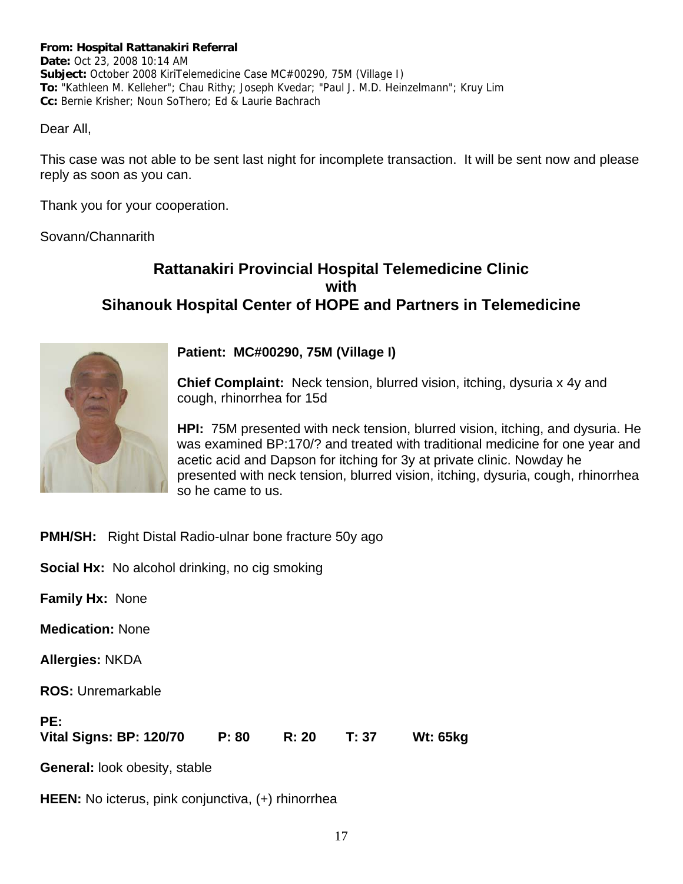#### **From: Hospital Rattanakiri Referral**

**Date:** Oct 23, 2008 10:14 AM **Subject:** October 2008 KiriTelemedicine Case MC#00290, 75M (Village I) **To:** "Kathleen M. Kelleher"; Chau Rithy; Joseph Kvedar; "Paul J. M.D. Heinzelmann"; Kruy Lim **Cc:** Bernie Krisher; Noun SoThero; Ed & Laurie Bachrach

Dear All,

This case was not able to be sent last night for incomplete transaction. It will be sent now and please reply as soon as you can.

Thank you for your cooperation.

Sovann/Channarith

# **Rattanakiri Provincial Hospital Telemedicine Clinic with Sihanouk Hospital Center of HOPE and Partners in Telemedicine**



**Patient: MC#00290, 75M (Village I)**

**Chief Complaint:** Neck tension, blurred vision, itching, dysuria x 4y and cough, rhinorrhea for 15d

**HPI:** 75M presented with neck tension, blurred vision, itching, and dysuria. He was examined BP:170/? and treated with traditional medicine for one year and acetic acid and Dapson for itching for 3y at private clinic. Nowday he presented with neck tension, blurred vision, itching, dysuria, cough, rhinorrhea so he came to us.

**PMH/SH:** Right Distal Radio-ulnar bone fracture 50y ago

**Social Hx:** No alcohol drinking, no cig smoking

**Family Hx:** None

**Medication:** None

**Allergies:** NKDA

**ROS:** Unremarkable

| PE:                     |       |             |          |
|-------------------------|-------|-------------|----------|
| Vital Signs: BP: 120/70 | P: 80 | R: 20 T: 37 | Wt: 65kg |

**General:** look obesity, stable

**HEEN:** No icterus, pink conjunctiva, (+) rhinorrhea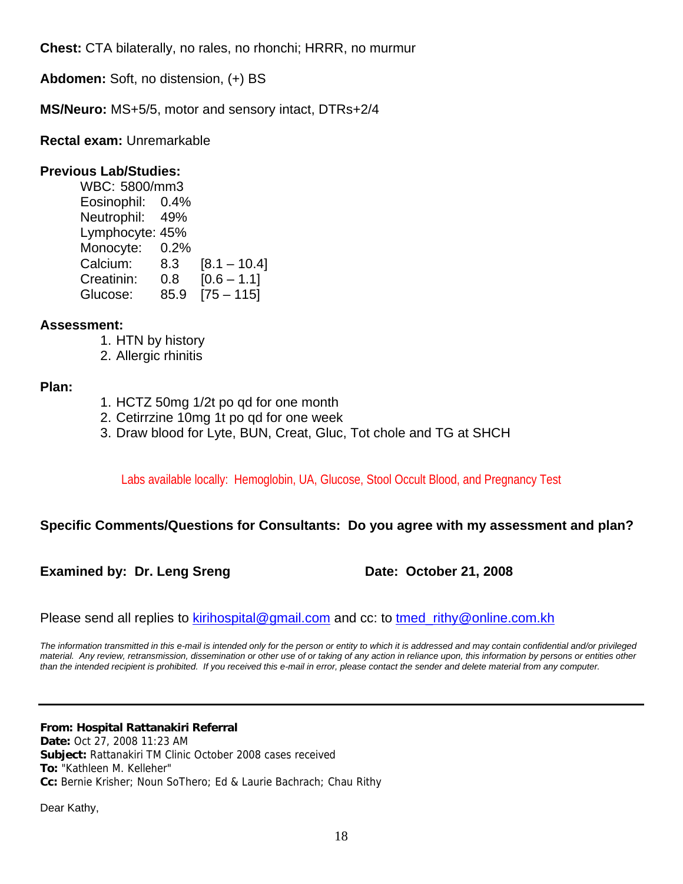**Chest:** CTA bilaterally, no rales, no rhonchi; HRRR, no murmur

**Abdomen:** Soft, no distension, (+) BS

**MS/Neuro:** MS+5/5, motor and sensory intact, DTRs+2/4

**Rectal exam:** Unremarkable

# **Previous Lab/Studies:**

 WBC: 5800/mm3 Eosinophil: 0.4% Neutrophil: 49% Lymphocyte: 45% Monocyte: 0.2% Calcium: 8.3 [8.1 – 10.4] Creatinin: 0.8 [0.6 – 1.1] Glucose: 85.9 [75 – 115]

# **Assessment:**

- 1. HTN by history
- 2. Allergic rhinitis

# **Plan:**

- 1. HCTZ 50mg 1/2t po qd for one month
- 2. Cetirrzine 10mg 1t po qd for one week
- 3. Draw blood for Lyte, BUN, Creat, Gluc, Tot chole and TG at SHCH

Labs available locally: Hemoglobin, UA, Glucose, Stool Occult Blood, and Pregnancy Test

# **Specific Comments/Questions for Consultants: Do you agree with my assessment and plan?**

**Examined by: Dr. Leng Sreng Date: October 21, 2008** 

Please send all replies to [kirihospital@gmail.com](mailto:kirihospital@gmail.com) and cc: to [tmed\\_rithy@online.com.kh](mailto:tmed_rithy@bigpond.com.kh)

*The information transmitted in this e-mail is intended only for the person or entity to which it is addressed and may contain confidential and/or privileged material. Any review, retransmission, dissemination or other use of or taking of any action in reliance upon, this information by persons or entities other than the intended recipient is prohibited. If you received this e-mail in error, please contact the sender and delete material from any computer.*

**From: Hospital Rattanakiri Referral Date:** Oct 27, 2008 11:23 AM **Subject:** Rattanakiri TM Clinic October 2008 cases received **To:** "Kathleen M. Kelleher" **Cc:** Bernie Krisher; Noun SoThero; Ed & Laurie Bachrach; Chau Rithy

Dear Kathy,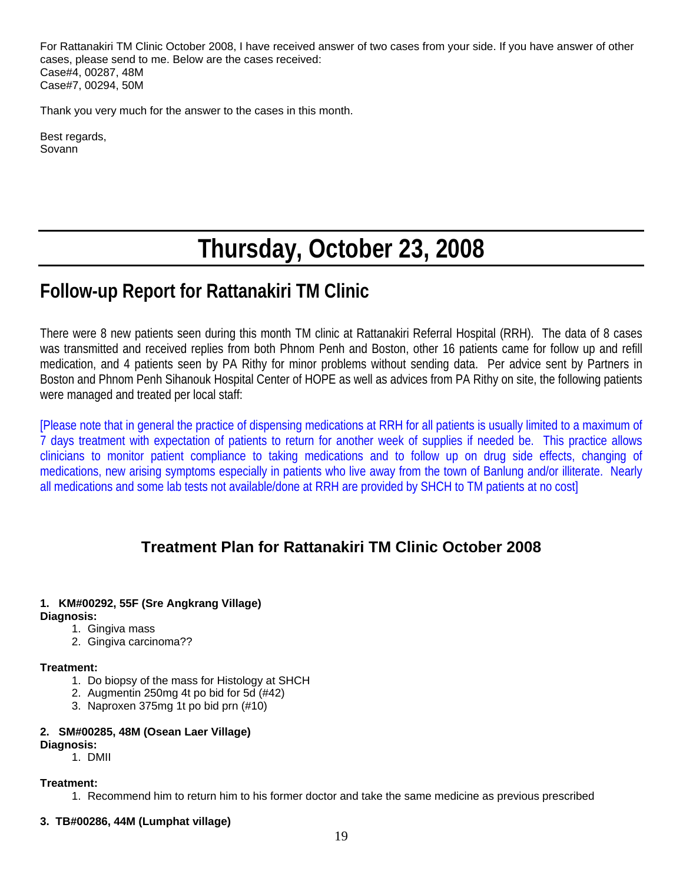For Rattanakiri TM Clinic October 2008, I have received answer of two cases from your side. If you have answer of other cases, please send to me. Below are the cases received: Case#4, 00287, 48M Case#7, 00294, 50M

Thank you very much for the answer to the cases in this month.

Best regards, Sovann

# **Thursday, October 23, 2008**

# **Follow-up Report for Rattanakiri TM Clinic**

There were 8 new patients seen during this month TM clinic at Rattanakiri Referral Hospital (RRH). The data of 8 cases was transmitted and received replies from both Phnom Penh and Boston, other 16 patients came for follow up and refill medication, and 4 patients seen by PA Rithy for minor problems without sending data. Per advice sent by Partners in Boston and Phnom Penh Sihanouk Hospital Center of HOPE as well as advices from PA Rithy on site, the following patients were managed and treated per local staff:

[Please note that in general the practice of dispensing medications at RRH for all patients is usually limited to a maximum of 7 days treatment with expectation of patients to return for another week of supplies if needed be. This practice allows clinicians to monitor patient compliance to taking medications and to follow up on drug side effects, changing of medications, new arising symptoms especially in patients who live away from the town of Banlung and/or illiterate. Nearly all medications and some lab tests not available/done at RRH are provided by SHCH to TM patients at no cost]

# **Treatment Plan for Rattanakiri TM Clinic October 2008**

#### **1. KM#00292, 55F (Sre Angkrang Village) Diagnosis:**

- 1. Gingiva mass
- 2. Gingiva carcinoma??

#### **Treatment:**

- 1. Do biopsy of the mass for Histology at SHCH
- 2. Augmentin 250mg 4t po bid for 5d (#42)
- 3. Naproxen 375mg 1t po bid prn (#10)

#### **2. SM#00285, 48M (Osean Laer Village) Diagnosis:**

#### 1. DMII

#### **Treatment:**

1. Recommend him to return him to his former doctor and take the same medicine as previous prescribed

#### **3. TB#00286, 44M (Lumphat village)**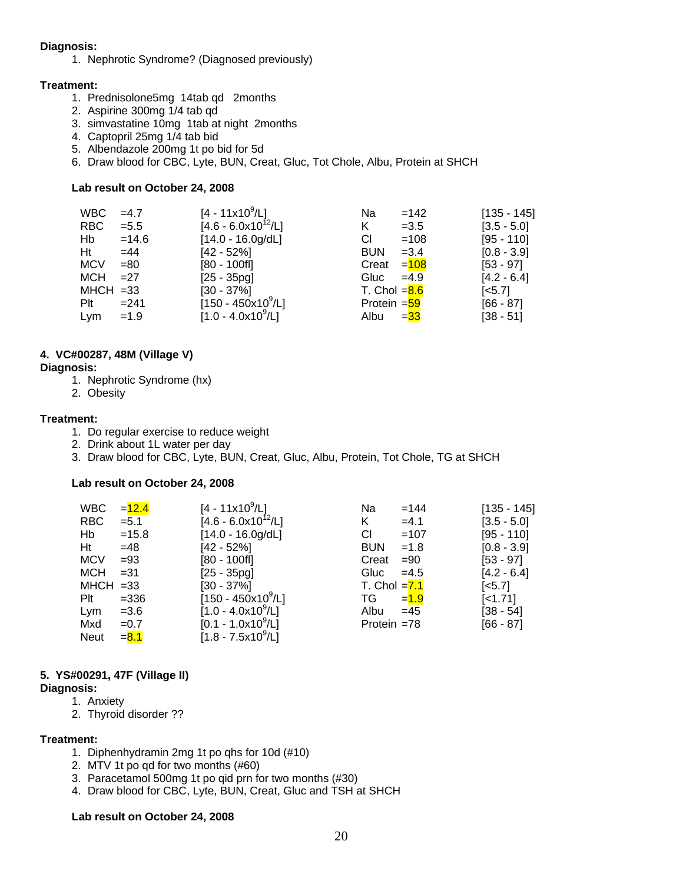#### **Diagnosis:**

1. Nephrotic Syndrome? (Diagnosed previously)

#### **Treatment:**

- 1. Prednisolone5mg 14tab qd 2months
- 2. Aspirine 300mg 1/4 tab qd
- 3. simvastatine 10mg 1tab at night 2months
- 4. Captopril 25mg 1/4 tab bid
- 5. Albendazole 200mg 1t po bid for 5d
- 6. Draw blood for CBC, Lyte, BUN, Creat, Gluc, Tot Chole, Albu, Protein at SHCH

#### **Lab result on October 24, 2008**

| WBC.        | $=4.7$  | $[4 - 11 \times 10^9 / L]$   | Na                         | $=142$  | $[135 - 145]$         |
|-------------|---------|------------------------------|----------------------------|---------|-----------------------|
| RBC.        | $= 5.5$ | $[4.6 - 6.0x10^{12}/L]$      | K                          | $=3.5$  | $[3.5 - 5.0]$         |
| Hb          | $=14.6$ | $[14.0 - 16.0g/dL]$          | СI                         | $=108$  | $[95 - 110]$          |
| Ht          | $=44$   | $[42 - 52\%]$                | <b>BUN</b>                 | $=3.4$  | $[0.8 - 3.9]$         |
| <b>MCV</b>  | $= 80$  | $[80 - 100$ fl]              | Creat                      | $= 108$ | $[53 - 97]$           |
| MCH         | $=27$   | $[25 - 35pg]$                | Gluc                       | $=4.9$  | $[4.2 - 6.4]$         |
| $MHCH = 33$ |         | $[30 - 37\%]$                | T. Chol $= 8.6$            |         | $\left[ <5.7 \right]$ |
| Plt         | $= 241$ | $[150 - 450 \times 10^9$ /L] | Protein $=$ $\frac{59}{5}$ |         | $[66 - 87]$           |
| Lym         | $=1.9$  | $[1.0 - 4.0x10^9/L]$         | Albu                       | $=$ 33  | $[38 - 51]$           |

#### **4. VC#00287, 48M (Village V)**

#### **Diagnosis:**

- 1. Nephrotic Syndrome (hx)
- 2. Obesity

#### **Treatment:**

- 1. Do regular exercise to reduce weight
- 2. Drink about 1L water per day
- 3. Draw blood for CBC, Lyte, BUN, Creat, Gluc, Albu, Protein, Tot Chole, TG at SHCH

#### **Lab result on October 24, 2008**

| <b>WBC</b>  | $= 12.4$ | [4 - 11x10 <sup>9</sup> /L]  | Na             | $=144$  | $[135 - 145]$         |
|-------------|----------|------------------------------|----------------|---------|-----------------------|
| <b>RBC</b>  | $= 5.1$  | $[4.6 - 6.0x10^{12}/L]$      | K              | $=4.1$  | $[3.5 - 5.0]$         |
| Hb          | $=15.8$  | $[14.0 - 16.0g/dL]$          | CI.            | $=107$  | [95 - 110]            |
| Ht          | $=48$    | [42 - 52%]                   | <b>BUN</b>     | $=1.8$  | $[0.8 - 3.9]$         |
| <b>MCV</b>  | $= 93$   | $[80 - 100f]$                | Creat          | $=90$   | $[53 - 97]$           |
| <b>MCH</b>  | $= 31$   | $[25 - 35pq]$                | Gluc           | $=4.5$  | $[4.2 - 6.4]$         |
| $MHCH = 33$ |          | $[30 - 37\%]$                | T. Chol $=7.1$ |         | $\left[ <5.7 \right]$ |
| Plt         | $=336$   | $[150 - 450 \times 10^9$ /L] | TG             | $= 1.9$ | $[-1.71]$             |
| Lym         | $= 3.6$  | $[1.0 - 4.0x10^9/L]$         | Albu           | $=45$   | $[38 - 54]$           |
| Mxd         | $=0.7$   | $[0.1 - 1.0x10^9/L]$         | Protein $=78$  |         | $[66 - 87]$           |
| <b>Neut</b> | $= 8.1$  | $[1.8 - 7.5x10^9/L]$         |                |         |                       |

#### **5. YS#00291, 47F (Village II)**

#### **Diagnosis:**

- 1. Anxiety
- 2. Thyroid disorder ??

#### **Treatment:**

- 1. Diphenhydramin 2mg 1t po qhs for 10d (#10)
- 2. MTV 1t po qd for two months (#60)
- 3. Paracetamol 500mg 1t po qid prn for two months (#30)
- 4. Draw blood for CBC, Lyte, BUN, Creat, Gluc and TSH at SHCH

#### **Lab result on October 24, 2008**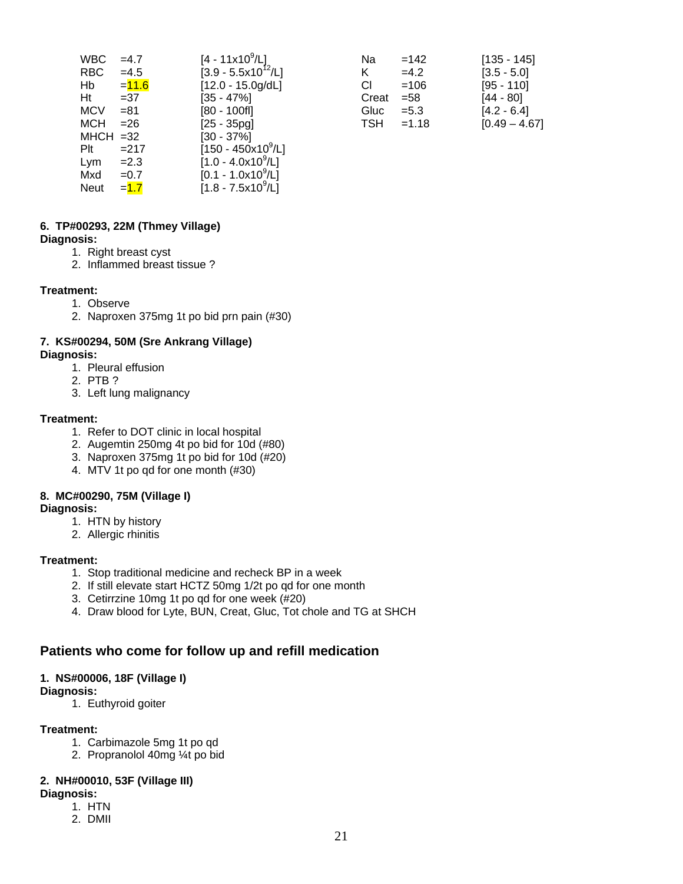| <b>WBC</b>  | $=4.7$   | $[4 - 11 \times 10^9 / L]$         | Na         | $=142$  | $[135 - 145]$   |
|-------------|----------|------------------------------------|------------|---------|-----------------|
| <b>RBC</b>  | $=4.5$   | $[3.9 - 5.5x10^{12}/L]$            | Κ          | $=4.2$  | $[3.5 - 5.0]$   |
| Hb          | $= 11.6$ | $[12.0 - 15.0g/dL]$                | СI         | $=106$  | $[95 - 110]$    |
| Ht          | $=37$    | $[35 - 47\%]$                      | Creat      | $= 58$  | [44 - 80]       |
| <b>MCV</b>  | $= 81$   | $[80 - 100$ fl]                    | Gluc       | $= 5.3$ | $[4.2 - 6.4]$   |
| <b>MCH</b>  | $= 26$   | $[25 - 35pq]$                      | <b>TSH</b> | $=1.18$ | $[0.49 - 4.67]$ |
| $MHCH = 32$ |          | $[30 - 37\%]$                      |            |         |                 |
| Plt         | $=217$   | $[150 - 450 \times 10^9/\text{L}]$ |            |         |                 |
| Lym         | $=2.3$   | $[1.0 - 4.0x109/L]$                |            |         |                 |
| Mxd         | $=0.7$   | $[0.1 - 1.0x10^9/L]$               |            |         |                 |
| <b>Neut</b> | $=1.7$   | $[1.8 - 7.5x10^9/L]$               |            |         |                 |

|                            | Na    | $=142$  | $[135 - 145]$   |
|----------------------------|-------|---------|-----------------|
| /L]<br>0 <sup>12</sup> /L] | K.    | $=4.2$  | $[3.5 - 5.0]$   |
| )g/dL]                     | СI    | $=106$  | $[95 - 110]$    |
|                            | Creat | $= 58$  | $[44 - 80]$     |
|                            | Gluc  | $= 5.3$ | $[4.2 - 6.4]$   |
|                            | TSH   | $=1.18$ | $[0.49 - 4.67]$ |

#### **6. TP#00293, 22M (Thmey Village)**

#### **Diagnosis:**

- 1. Right breast cyst
- 2. Inflammed breast tissue ?

#### **Treatment:**

- 1. Observe
- 2. Naproxen 375mg 1t po bid prn pain (#30)

# **7. KS#00294, 50M (Sre Ankrang Village)**

#### **Diagnosis:**

- 1. Pleural effusion
- 2. PTB ?
- 3. Left lung malignancy

#### **Treatment:**

- 1. Refer to DOT clinic in local hospital
- 2. Augemtin 250mg 4t po bid for 10d (#80)
- 3. Naproxen 375mg 1t po bid for 10d (#20)
- 4. MTV 1t po qd for one month (#30)

# **8. MC#00290, 75M (Village I)**

#### **Diagnosis:**

- 1. HTN by history
- 2. Allergic rhinitis

# **Treatment:**

- 1. Stop traditional medicine and recheck BP in a week
- 2. If still elevate start HCTZ 50mg 1/2t po qd for one month
- 3. Cetirrzine 10mg 1t po qd for one week (#20)
- 4. Draw blood for Lyte, BUN, Creat, Gluc, Tot chole and TG at SHCH

# **Patients who come for follow up and refill medication**

# **1. NS#00006, 18F (Village I)**

### **Diagnosis:**

1. Euthyroid goiter

# **Treatment:**

- 1. Carbimazole 5mg 1t po qd
- 2. Propranolol 40mg ¼t po bid

# **2. NH#00010, 53F (Village III)**

# **Diagnosis:**

1. HTN 2. DMII

21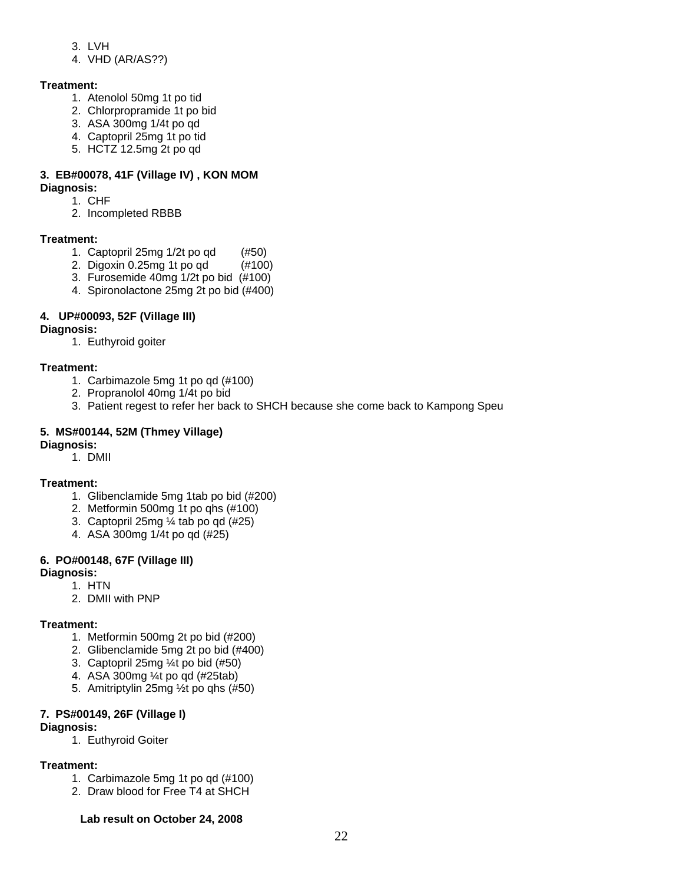- 3. LVH
- 4. VHD (AR/AS??)

# **Treatment:**

- 1. Atenolol 50mg 1t po tid
- 2. Chlorpropramide 1t po bid
- 3. ASA 300mg 1/4t po qd
- 4. Captopril 25mg 1t po tid
- 5. HCTZ 12.5mg 2t po qd

# **3. EB#00078, 41F (Village IV) , KON MOM**

- **Diagnosis:**  1. CHF
	- 2. Incompleted RBBB

# **Treatment:**

- 1. Captopril 25mg 1/2t po qd (#50)
- 2. Digoxin 0.25mg 1t po qd (#100)
- 3. Furosemide 40mg 1/2t po bid (#100)
- 4. Spironolactone 25mg 2t po bid (#400)

# **4. UP#00093, 52F (Village III)**

- **Diagnosis:** 
	- 1. Euthyroid goiter

# **Treatment:**

- 1. Carbimazole 5mg 1t po qd (#100)
- 2. Propranolol 40mg 1/4t po bid
- 3. Patient regest to refer her back to SHCH because she come back to Kampong Speu

# **5. MS#00144, 52M (Thmey Village)**

#### **Diagnosis:**

1. DMII

# **Treatment:**

- 1. Glibenclamide 5mg 1tab po bid (#200)
- 2. Metformin 500mg 1t po qhs (#100)
- 3. Captopril 25mg ¼ tab po qd (#25)
- 4. ASA 300mg 1/4t po qd (#25)

# **6. PO#00148, 67F (Village III)**

# **Diagnosis:**

- 1. HTN
	- 2. DMII with PNP

# **Treatment:**

- 1. Metformin 500mg 2t po bid (#200)
- 2. Glibenclamide 5mg 2t po bid (#400)
- 3. Captopril 25mg ¼t po bid (#50)
- 4. ASA 300mg ¼t po qd (#25tab)
- 5. Amitriptylin 25mg ½t po qhs (#50)

# **7. PS#00149, 26F (Village I)**

#### **Diagnosis:**

1. Euthyroid Goiter

# **Treatment:**

- 1. Carbimazole 5mg 1t po qd (#100)
- 2. Draw blood for Free T4 at SHCH

# **Lab result on October 24, 2008**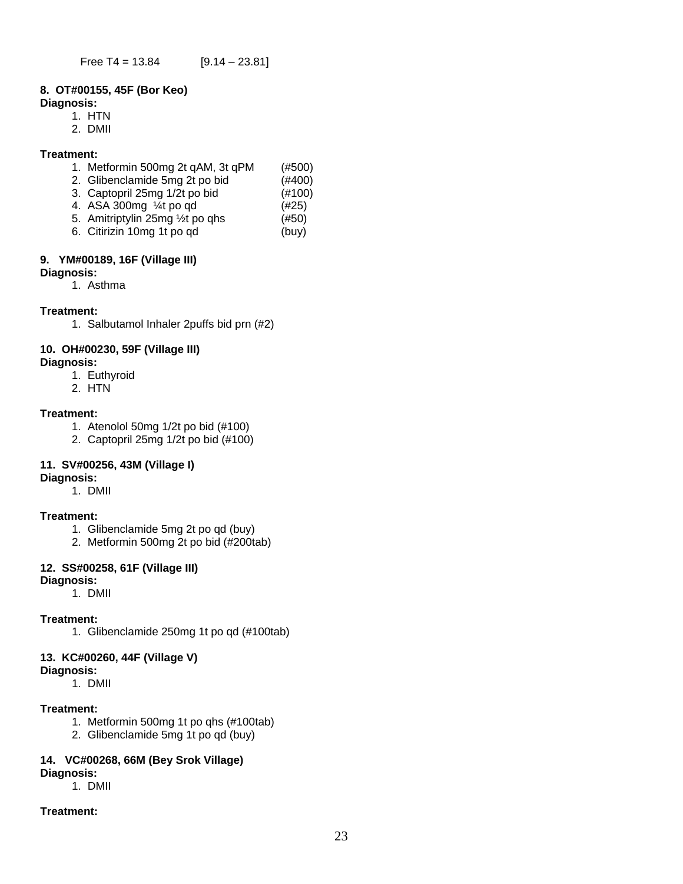#### **8. OT#00155, 45F (Bor Keo)**

#### **Diagnosis:**

- 1. HTN
- 2. DMII

#### **Treatment:**

|  |  | 1. Metformin 500mg 2t qAM, 3t qPM |  | (#500) |
|--|--|-----------------------------------|--|--------|
|--|--|-----------------------------------|--|--------|

- 2. Glibenclamide 5mg 2t po bid (#400)
- 3. Captopril 25mg 1/2t po bid (#100)
- 4. ASA 300mg  $\frac{1}{4}$ t po qd (#25)
- 5. Amitriptylin 25mg ½t po qhs (#50) 6. Citirizin 10mg 1t po qd (buy)

#### **9. YM#00189, 16F (Village III)**

- **Diagnosis:** 
	- 1. Asthma

#### **Treatment:**

1. Salbutamol Inhaler 2puffs bid prn (#2)

### **10. OH#00230, 59F (Village III)**

#### **Diagnosis:**

- 1. Euthyroid
- 2. HTN

#### **Treatment:**

- 1. Atenolol 50mg 1/2t po bid (#100)
- 2. Captopril 25mg 1/2t po bid (#100)

# **11. SV#00256, 43M (Village I)**

# **Diagnosis:**

1. DMII

#### **Treatment:**

- 1. Glibenclamide 5mg 2t po qd (buy)
- 2. Metformin 500mg 2t po bid (#200tab)

# **12. SS#00258, 61F (Village III)**

### **Diagnosis:**

1. DMII

#### **Treatment:**

1. Glibenclamide 250mg 1t po qd (#100tab)

#### **13. KC#00260, 44F (Village V)**

#### **Diagnosis:**

1. DMII

#### **Treatment:**

- 1. Metformin 500mg 1t po qhs (#100tab)
- 2. Glibenclamide 5mg 1t po qd (buy)

# **14. VC#00268, 66M (Bey Srok Village)**

- **Diagnosis:**
	- 1. DMII

#### **Treatment:**